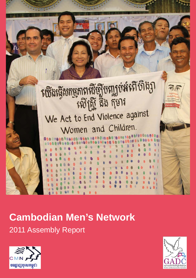

# **Cambodian Men's Network**

2011 Assembly Report



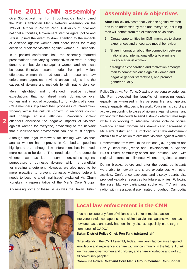# The 2011 CMN assembly

Over 350 activist men from throughout Cambodia joined the 2011 Cambodian Men's Network Assembly on the 12th of October in Phnom Penh. A diversity of local and national authorities, Government staff, villagers, police and NGOs, joined the event to draw attention to the impacts of violence against women and share ideas for taking action to eradicate violence against women in Cambodia.

In a packed conference hall, the assembly featured presentations from varying perspectives on what is being done to combat violence against women and what can be done. Emotive personal stories from prior violent offenders, women that had dealt with abuse and law enforcement agencies provided unique insights into the causes of violence and methods for eliminating violence.

Men highlighted and challenged negative cultural expectations that normalised male dominance over women and a lack of accountability for violent offenders. CMN members explained their processes of intervention, working within the cultural context, to reconcile conflict and change abusive attitudes. Previously violent offenders discussed the negative impacts of violence against women for everyone, advocating to the network that a violence-free environment can and must happen.

Although the legal framework for dealing with violence against women has improved in Cambodia, speeches highlighted that although law enforcement has improved, more needs to be done. "The introduction of the domestic violence law has led to some convictions against perpetrators of domestic violence, which is beneficial for creating a deterrent. However, we also need to be more proactive to prevent domestic violence before it needs to become a criminal issue" explained Mr. Chum Kongkea, a representative of the Men's Core Groups. Addressing some of these issues was the Bakan District

## Assembly aim & objectives

**Aim:** Publicly advocate that violence against women has to be addressed by men and everyone, including men will benefit from the elimination of violence:

- 1. Create opportunities for CMN members to share experiences and encourage model behaviour.
- 2. Share information about the connection between national and international efforts to eliminate violence against women.
- 3. Strengthen cooperation and motivation amongst men to combat violence against women and negative gender stereotypes, and promote gender equality.

Police Chief, Mr. Pen Tung. Drawing on personal experiences, Mr. Pen advocated the benefits of improving gender equality, as witnessed in his personal life, and applying gender equality attitudes to his work. Police in his district are actively responding to cases of violence against women and working with the courts to send a strong deterrent message, while also working to intervene before violence occurs. Violence against women has dramatically decreased in Mr. Pen's district and he implored other law enforcement officials to take action to eliminate violence against women.

Presentations from two United Nations (UN) agencies and Pez y Desarrollo (Peace and Development, a Spanish NGO) linked community-based and national work with regional efforts to eliminate violence against women.

During breaks, before and after the event, participants were able to network and share experiences with other activists. Conference packages and display boards also provided valuable resources for future activities. Following the assembly, key participants spoke with T.V, print and radio, with messages disseminated throughout Cambodia.



## Local law enforcement in the CMN

"I do not tolerate any form of violence and I take immediate action to intervene if violence happens. I can claim that violence against women has now decreased and rarely happens in my district, especially in the target communes of GADC."

**Bakan District Police Chief, Pen Tung (pictured left)**

"After attending the CMN Assembly today, I am very glad because I gained knowledge and experience to share with my community. In the future, I think we must empower women and children, and share knowledge and skills to all community people."

**Commune Police Chief and Core Men's Group member, Chin Sophal**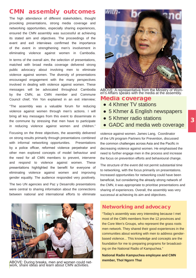## CMN assembly outcomes

The high attendance of different stakeholders, thought provoking presentations, strong media coverage and networking opportunities, especially sharing experiences, ensured the CMN assembly was successful at achieving its stated aim and objectives. The proceedings of the event and exit interviews confirmed the importance of the event in strengthening men's involvement in eliminating violence against women in Cambodia.

In terms of the overall aim, the selection of presentations, matched with broad media coverage delivered strong public advocacy about involving men to eliminate violence against women. The diversity of presentations encouraged engagement with the many perspectives involved in dealing with violence against women. These messages will be advocated throughout Cambodia by the CMN, as CMN member and Commune Council chief, Yim Yon explained in an exit interview;

"The assembly was a valuable forum for reducing violence against women through men's actions. I will bring all key messages from this event to disseminate in the commune by stressing that men have to participate in reducing violence against women and children."

Focusing on the three objectives, the assembly delivered on strong results primarily through presentations combined with informal networking opportunities. Presentations by a police officer, reformed violence perpetrator and other men explored concepts of model behaviour and the need for all CMN members to prevent, intervene and respond to violence against women. These presentations highlighted the benefit for everyone of eliminating violence against women and improving gender equality. The audience responded very positively.

The two UN agencies and Paz y Desarrollo presentations were central to sharing information about the connections between national and international efforts to eliminate



ABOVE: During breaks, men and women could net-<br>work, share ideas and learn about CMN activities.



ABOVE: A representative from the Ministry of Wom- en's Affairs speaks with the media at the assembly.

## Media coverage

- **●** 4 Khmer TV stations
- **●** 5 Khmer & English newspapers
- **●** 5 Khmer radio stations
- **GADC and media web coverage**

violence against women. James Lang, Coordinator of the UN program Partners for Prevention, discussed the common challenges across Asia and the Pacific in decreasing violence against women. He emphasised the need to further engage men in the process and increase the focus on prevention efforts and behavioural change.

The structure of the event did not permit substantial time to networking, with the focus primarily on presentations. Increased opportunities for networking could have been beneficial, but considering the already strong network of the CMN, it was appropriate to prioritise presentations and sharing of experiences. Overall, the assembly was very successul at achieving its aim and objectives.

## Networking and advocacy

"Today's assembly was very interesting because I met most of the CMN members from the 12 provinces and the Core Men's Groups, who represent the grass roots men network. They shared their good experiences in the communities about working with men to address genderbased violence... This knowledge and concepts are the foundation for me to preparing programs for broadcasting on the National Radio of Kampuchea."

**National Radio Kampuchea employee and CMN member, Thol Ngorn Thai**